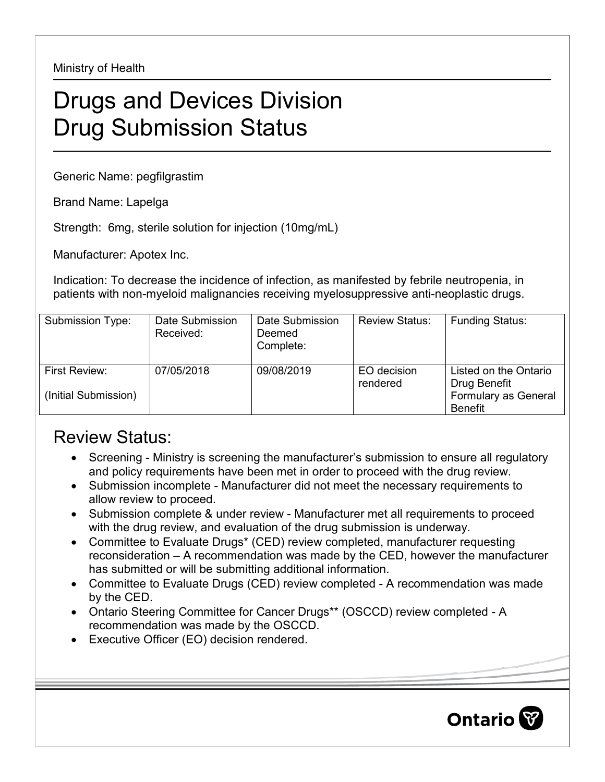Ministry of Health

## Drugs and Devices Division Drug Submission Status

Generic Name: pegfilgrastim

Brand Name: Lapelga

Strength: 6mg, sterile solution for injection (10mg/mL)

Manufacturer: Apotex Inc.

Indication: To decrease the incidence of infection, as manifested by febrile neutropenia, in patients with non-myeloid malignancies receiving myelosuppressive anti-neoplastic drugs.

| Submission Type:                      | Date Submission<br>Received: | Date Submission<br>Deemed<br>Complete: | <b>Review Status:</b>   | <b>Funding Status:</b>                                                          |
|---------------------------------------|------------------------------|----------------------------------------|-------------------------|---------------------------------------------------------------------------------|
| First Review:<br>(Initial Submission) | 07/05/2018                   | 09/08/2019                             | EO decision<br>rendered | Listed on the Ontario<br>Drug Benefit<br>Formulary as General<br><b>Benefit</b> |

## Review Status:

- Screening Ministry is screening the manufacturer's submission to ensure all regulatory and policy requirements have been met in order to proceed with the drug review.
- Submission incomplete Manufacturer did not meet the necessary requirements to allow review to proceed.
- Submission complete & under review Manufacturer met all requirements to proceed with the drug review, and evaluation of the drug submission is underway.
- Committee to Evaluate Drugs\* (CED) review completed, manufacturer requesting reconsideration – A recommendation was made by the CED, however the manufacturer has submitted or will be submitting additional information.
- Committee to Evaluate Drugs (CED) review completed A recommendation was made by the CED.
- Ontario Steering Committee for Cancer Drugs\*\* (OSCCD) review completed A recommendation was made by the OSCCD.
- Executive Officer (EO) decision rendered.